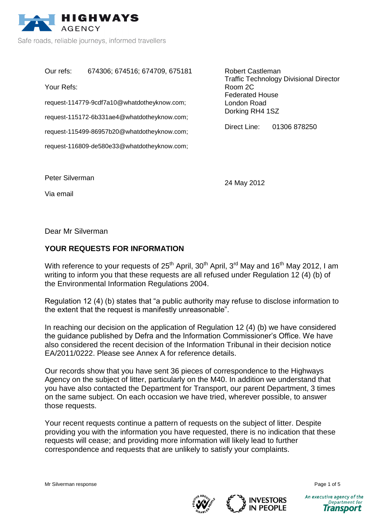

Safe roads, reliable journeys, informed travellers

Our refs: 674306; 674516; 674709, 675181 Your Refs:

request-114779-9cdf7a10@whatdotheyknow.com;

request-115172-6b331ae4@whatdotheyknow.com;

request-115499-86957b20@whatdotheyknow.com;

request-116809-de580e33@whatdotheyknow.com;

Robert Castleman Traffic Technology Divisional Director Room 2C Federated House London Road Dorking RH4 1SZ

Direct Line: 01306 878250

Peter Silverman

Via email

24 May 2012

Dear Mr Silverman

## **YOUR REQUESTS FOR INFORMATION**

With reference to your requests of  $25<sup>th</sup>$  April,  $30<sup>th</sup>$  April,  $3<sup>rd</sup>$  May and 16<sup>th</sup> May 2012, I am writing to inform you that these requests are all refused under Regulation 12 (4) (b) of the Environmental Information Regulations 2004.

Regulation 12 (4) (b) states that "a public authority may refuse to disclose information to the extent that the request is manifestly unreasonable".

In reaching our decision on the application of Regulation 12 (4) (b) we have considered the guidance published by Defra and the Information Commissioner's Office. We have also considered the recent decision of the Information Tribunal in their decision notice EA/2011/0222. Please see Annex A for reference details.

Our records show that you have sent 36 pieces of correspondence to the Highways Agency on the subject of litter, particularly on the M40. In addition we understand that you have also contacted the Department for Transport, our parent Department, 3 times on the same subject. On each occasion we have tried, wherever possible, to answer those requests.

Your recent requests continue a pattern of requests on the subject of litter. Despite providing you with the information you have requested, there is no indication that these requests will cease; and providing more information will likely lead to further correspondence and requests that are unlikely to satisfy your complaints.





Department for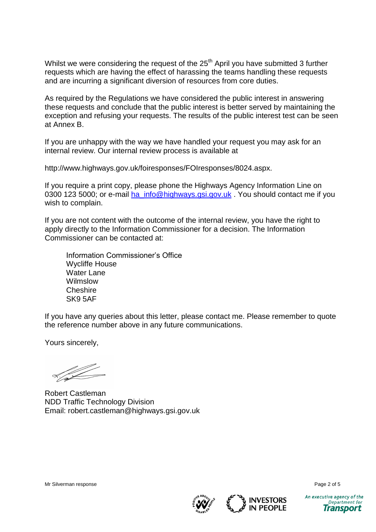Whilst we were considering the request of the 25<sup>th</sup> April you have submitted 3 further requests which are having the effect of harassing the teams handling these requests and are incurring a significant diversion of resources from core duties.

As required by the Regulations we have considered the public interest in answering these requests and conclude that the public interest is better served by maintaining the exception and refusing your requests. The results of the public interest test can be seen at Annex B.

If you are unhappy with the way we have handled your request you may ask for an internal review. Our internal review process is available at

http://www.highways.gov.uk/foiresponses/FOIresponses/8024.aspx.

If you require a print copy, please phone the Highways Agency Information Line on 0300 123 5000; or e-mail [ha\\_info@highways.gsi.gov.uk](mailto:ha_info@highways.gsi.gov.uk). You should contact me if you wish to complain.

If you are not content with the outcome of the internal review, you have the right to apply directly to the Information Commissioner for a decision. The Information Commissioner can be contacted at:

Information Commissioner's Office Wycliffe House Water Lane Wilmslow **Cheshire** SK9 5AF

If you have any queries about this letter, please contact me. Please remember to quote the reference number above in any future communications.

Yours sincerely,

Robert Castleman NDD Traffic Technology Division Email: robert.castleman@highways.gsi.gov.uk





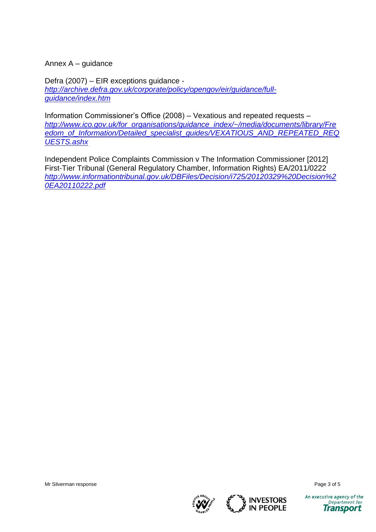Annex A – guidance

Defra (2007) – EIR exceptions guidance *[http://archive.defra.gov.uk/corporate/policy/opengov/eir/guidance/full](http://archive.defra.gov.uk/corporate/policy/opengov/eir/guidance/full-guidance/index.htm)[guidance/index.htm](http://archive.defra.gov.uk/corporate/policy/opengov/eir/guidance/full-guidance/index.htm)*

Information Commissioner's Office (2008) – Vexatious and repeated requests – *[http://www.ico.gov.uk/for\\_organisations/guidance\\_index/~/media/documents/library/Fre](http://www.ico.gov.uk/for_organisations/guidance_index/~/media/documents/library/Freedom_of_Information/Detailed_specialist_guides/VEXATIOUS_AND_REPEATED_REQUESTS.ashx) [edom\\_of\\_Information/Detailed\\_specialist\\_guides/VEXATIOUS\\_AND\\_REPEATED\\_REQ](http://www.ico.gov.uk/for_organisations/guidance_index/~/media/documents/library/Freedom_of_Information/Detailed_specialist_guides/VEXATIOUS_AND_REPEATED_REQUESTS.ashx) [UESTS.ashx](http://www.ico.gov.uk/for_organisations/guidance_index/~/media/documents/library/Freedom_of_Information/Detailed_specialist_guides/VEXATIOUS_AND_REPEATED_REQUESTS.ashx)*

Independent Police Complaints Commission v The Information Commissioner [2012] First-Tier Tribunal (General Regulatory Chamber, Information Rights) EA/2011/0222 *[http://www.informationtribunal.gov.uk/DBFiles/Decision/i725/20120329%20Decision%2](http://www.informationtribunal.gov.uk/DBFiles/Decision/i725/20120329%20Decision%20EA20110222.pdf) [0EA20110222.pdf](http://www.informationtribunal.gov.uk/DBFiles/Decision/i725/20120329%20Decision%20EA20110222.pdf)*



An executive agency of the

Department for

**Transport** 



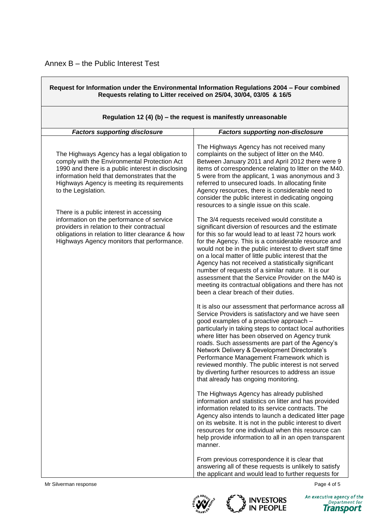| Request for Information under the Environmental Information Regulations 2004 - Four combined<br>Requests relating to Litter received on 25/04, 30/04, 03/05 & 16/5<br>Regulation 12 (4) (b) $-$ the request is manifestly unreasonable                                  |                                                                                                                                                                                                                                                                                                                                                                                                                                                                                                                                                                                                           |  |
|-------------------------------------------------------------------------------------------------------------------------------------------------------------------------------------------------------------------------------------------------------------------------|-----------------------------------------------------------------------------------------------------------------------------------------------------------------------------------------------------------------------------------------------------------------------------------------------------------------------------------------------------------------------------------------------------------------------------------------------------------------------------------------------------------------------------------------------------------------------------------------------------------|--|
|                                                                                                                                                                                                                                                                         |                                                                                                                                                                                                                                                                                                                                                                                                                                                                                                                                                                                                           |  |
| The Highways Agency has a legal obligation to<br>comply with the Environmental Protection Act<br>1990 and there is a public interest in disclosing<br>information held that demonstrates that the<br>Highways Agency is meeting its requirements<br>to the Legislation. | The Highways Agency has not received many<br>complaints on the subject of litter on the M40.<br>Between January 2011 and April 2012 there were 9<br>items of correspondence relating to litter on the M40.<br>5 were from the applicant, 1 was anonymous and 3<br>referred to unsecured loads. In allocating finite<br>Agency resources, there is considerable need to<br>consider the public interest in dedicating ongoing<br>resources to a single issue on this scale.                                                                                                                                |  |
| There is a public interest in accessing<br>information on the performance of service<br>providers in relation to their contractual<br>obligations in relation to litter clearance & how<br>Highways Agency monitors that performance.                                   | The 3/4 requests received would constitute a<br>significant diversion of resources and the estimate<br>for this so far would lead to at least 72 hours work<br>for the Agency. This is a considerable resource and<br>would not be in the public interest to divert staff time<br>on a local matter of little public interest that the<br>Agency has not received a statistically significant<br>number of requests of a similar nature. It is our<br>assessment that the Service Provider on the M40 is<br>meeting its contractual obligations and there has not<br>been a clear breach of their duties. |  |
|                                                                                                                                                                                                                                                                         | It is also our assessment that performance across all<br>Service Providers is satisfactory and we have seen<br>good examples of a proactive approach -<br>particularly in taking steps to contact local authorities<br>where litter has been observed on Agency trunk<br>roads. Such assessments are part of the Agency's<br>Network Delivery & Development Directorate's<br>Performance Management Framework which is<br>reviewed monthly. The public interest is not served<br>by diverting further resources to address an issue<br>that already has ongoing monitoring.                               |  |
|                                                                                                                                                                                                                                                                         | The Highways Agency has already published<br>information and statistics on litter and has provided<br>information related to its service contracts. The<br>Agency also intends to launch a dedicated litter page<br>on its website. It is not in the public interest to divert<br>resources for one individual when this resource can<br>help provide information to all in an open transparent<br>manner.                                                                                                                                                                                                |  |
|                                                                                                                                                                                                                                                                         | From previous correspondence it is clear that<br>answering all of these requests is unlikely to satisfy<br>the applicant and would lead to further requests for                                                                                                                                                                                                                                                                                                                                                                                                                                           |  |